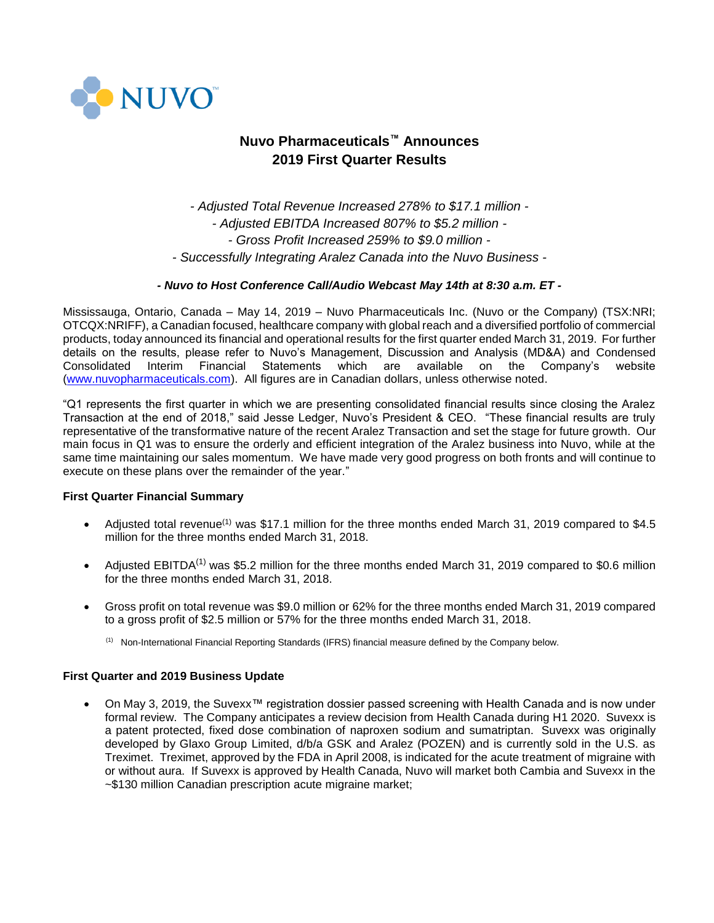

# **Nuvo Pharmaceuticals™ Announces 2019 First Quarter Results**

*- Adjusted Total Revenue Increased 278% to \$17.1 million - - Adjusted EBITDA Increased 807% to \$5.2 million - - Gross Profit Increased 259% to \$9.0 million - - Successfully Integrating Aralez Canada into the Nuvo Business -*

# *- Nuvo to Host Conference Call/Audio Webcast May 14th at 8:30 a.m. ET -*

Mississauga, Ontario, Canada – May 14, 2019 – Nuvo Pharmaceuticals Inc. (Nuvo or the Company) (TSX:NRI; OTCQX:NRIFF), a Canadian focused, healthcare company with global reach and a diversified portfolio of commercial products, today announced its financial and operational results for the first quarter ended March 31, 2019. For further details on the results, please refer to Nuvo's Management, Discussion and Analysis (MD&A) and Condensed Consolidated Interim Financial Statements which are available on the Company's website [\(www.nuvopharmaceuticals.com\)](http://www.nuvopharmaceuticals.com/). All figures are in Canadian dollars, unless otherwise noted.

"Q1 represents the first quarter in which we are presenting consolidated financial results since closing the Aralez Transaction at the end of 2018," said Jesse Ledger, Nuvo's President & CEO. "These financial results are truly representative of the transformative nature of the recent Aralez Transaction and set the stage for future growth. Our main focus in Q1 was to ensure the orderly and efficient integration of the Aralez business into Nuvo, while at the same time maintaining our sales momentum. We have made very good progress on both fronts and will continue to execute on these plans over the remainder of the year."

# **First Quarter Financial Summary**

- Adjusted total revenue<sup>(1)</sup> was \$17.1 million for the three months ended March 31, 2019 compared to \$4.5 million for the three months ended March 31, 2018.
- Adjusted EBITDA<sup>(1)</sup> was \$5.2 million for the three months ended March 31, 2019 compared to \$0.6 million for the three months ended March 31, 2018.
- Gross profit on total revenue was \$9.0 million or 62% for the three months ended March 31, 2019 compared to a gross profit of \$2.5 million or 57% for the three months ended March 31, 2018.
	- <sup>(1)</sup> Non-International Financial Reporting Standards (IFRS) financial measure defined by the Company below.

## **First Quarter and 2019 Business Update**

• On May 3, 2019, the Suvexx™ registration dossier passed screening with Health Canada and is now under formal review. The Company anticipates a review decision from Health Canada during H1 2020. Suvexx is a patent protected, fixed dose combination of naproxen sodium and sumatriptan. Suvexx was originally developed by Glaxo Group Limited, d/b/a GSK and Aralez (POZEN) and is currently sold in the U.S. as Treximet. Treximet, approved by the FDA in April 2008, is indicated for the acute treatment of migraine with or without aura. If Suvexx is approved by Health Canada, Nuvo will market both Cambia and Suvexx in the ~\$130 million Canadian prescription acute migraine market;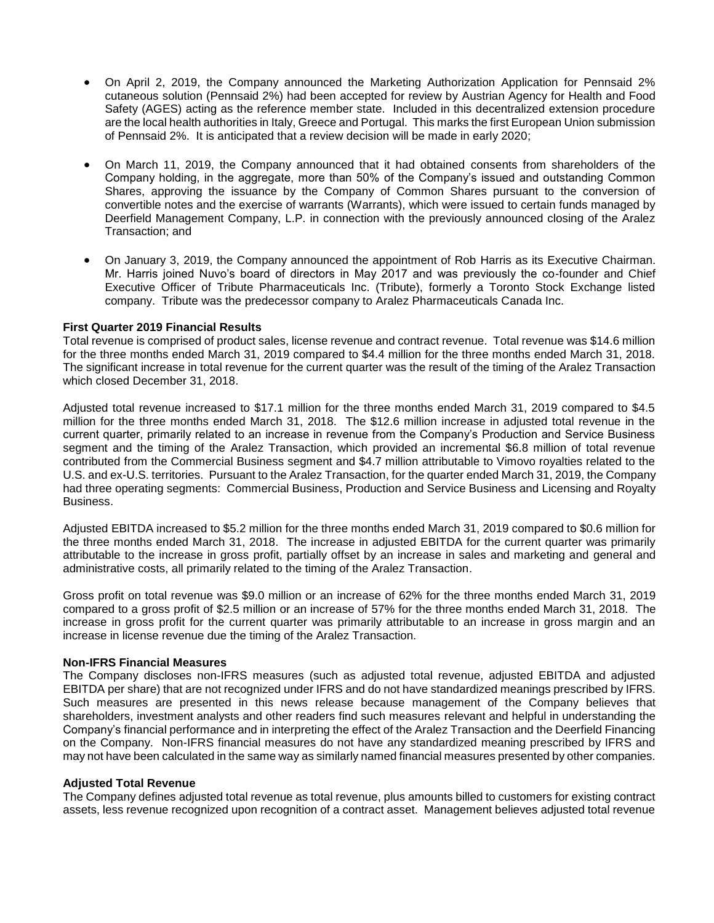- On April 2, 2019, the Company announced the Marketing Authorization Application for Pennsaid 2% cutaneous solution (Pennsaid 2%) had been accepted for review by Austrian Agency for Health and Food Safety (AGES) acting as the reference member state. Included in this decentralized extension procedure are the local health authorities in Italy, Greece and Portugal. This marks the first European Union submission of Pennsaid 2%. It is anticipated that a review decision will be made in early 2020;
- On March 11, 2019, the Company announced that it had obtained consents from shareholders of the Company holding, in the aggregate, more than 50% of the Company's issued and outstanding Common Shares, approving the issuance by the Company of Common Shares pursuant to the conversion of convertible notes and the exercise of warrants (Warrants), which were issued to certain funds managed by Deerfield Management Company, L.P. in connection with the previously announced closing of the Aralez Transaction; and
- On January 3, 2019, the Company announced the appointment of Rob Harris as its Executive Chairman. Mr. Harris joined Nuvo's board of directors in May 2017 and was previously the co-founder and Chief Executive Officer of Tribute Pharmaceuticals Inc. (Tribute), formerly a Toronto Stock Exchange listed company. Tribute was the predecessor company to Aralez Pharmaceuticals Canada Inc.

# **First Quarter 2019 Financial Results**

Total revenue is comprised of product sales, license revenue and contract revenue. Total revenue was \$14.6 million for the three months ended March 31, 2019 compared to \$4.4 million for the three months ended March 31, 2018. The significant increase in total revenue for the current quarter was the result of the timing of the Aralez Transaction which closed December 31, 2018.

Adjusted total revenue increased to \$17.1 million for the three months ended March 31, 2019 compared to \$4.5 million for the three months ended March 31, 2018. The \$12.6 million increase in adjusted total revenue in the current quarter, primarily related to an increase in revenue from the Company's Production and Service Business segment and the timing of the Aralez Transaction, which provided an incremental \$6.8 million of total revenue contributed from the Commercial Business segment and \$4.7 million attributable to Vimovo royalties related to the U.S. and ex-U.S. territories. Pursuant to the Aralez Transaction, for the quarter ended March 31, 2019, the Company had three operating segments: Commercial Business, Production and Service Business and Licensing and Royalty Business.

Adjusted EBITDA increased to \$5.2 million for the three months ended March 31, 2019 compared to \$0.6 million for the three months ended March 31, 2018. The increase in adjusted EBITDA for the current quarter was primarily attributable to the increase in gross profit, partially offset by an increase in sales and marketing and general and administrative costs, all primarily related to the timing of the Aralez Transaction.

Gross profit on total revenue was \$9.0 million or an increase of 62% for the three months ended March 31, 2019 compared to a gross profit of \$2.5 million or an increase of 57% for the three months ended March 31, 2018. The increase in gross profit for the current quarter was primarily attributable to an increase in gross margin and an increase in license revenue due the timing of the Aralez Transaction.

#### **Non-IFRS Financial Measures**

The Company discloses non-IFRS measures (such as adjusted total revenue, adjusted EBITDA and adjusted EBITDA per share) that are not recognized under IFRS and do not have standardized meanings prescribed by IFRS. Such measures are presented in this news release because management of the Company believes that shareholders, investment analysts and other readers find such measures relevant and helpful in understanding the Company's financial performance and in interpreting the effect of the Aralez Transaction and the Deerfield Financing on the Company. Non-IFRS financial measures do not have any standardized meaning prescribed by IFRS and may not have been calculated in the same way as similarly named financial measures presented by other companies.

#### **Adjusted Total Revenue**

The Company defines adjusted total revenue as total revenue, plus amounts billed to customers for existing contract assets, less revenue recognized upon recognition of a contract asset. Management believes adjusted total revenue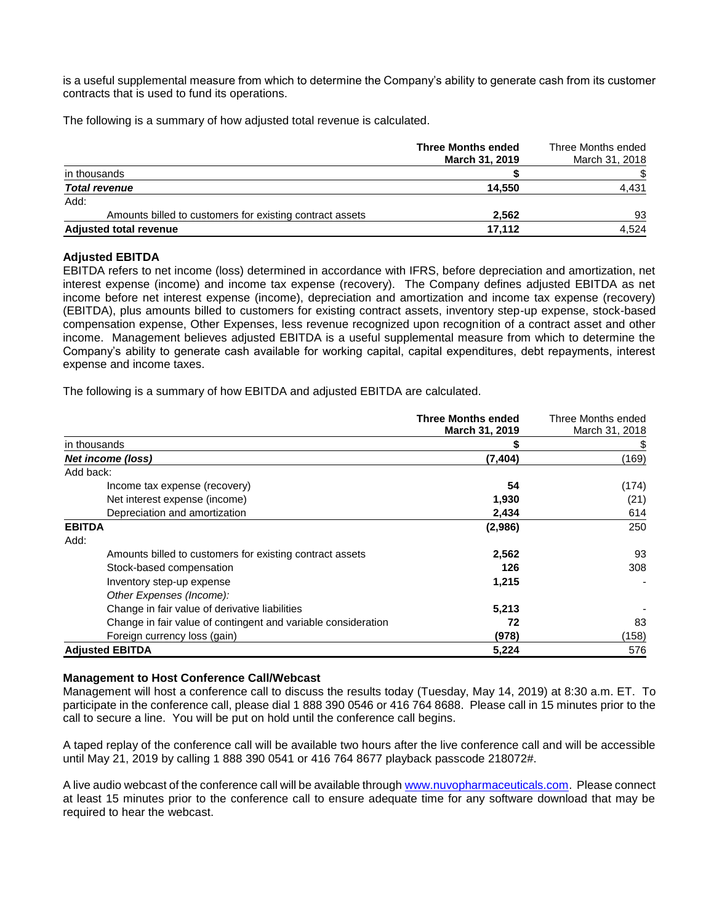is a useful supplemental measure from which to determine the Company's ability to generate cash from its customer contracts that is used to fund its operations.

The following is a summary of how adjusted total revenue is calculated.

|                                                          | <b>Three Months ended</b><br>March 31, 2019 | Three Months ended<br>March 31, 2018 |
|----------------------------------------------------------|---------------------------------------------|--------------------------------------|
| in thousands                                             |                                             |                                      |
| <b>Total revenue</b>                                     | 14.550                                      | 4,431                                |
| Add:                                                     |                                             |                                      |
| Amounts billed to customers for existing contract assets | 2.562                                       | 93                                   |
| <b>Adjusted total revenue</b>                            | 17.112                                      | 4.524                                |

## **Adjusted EBITDA**

EBITDA refers to net income (loss) determined in accordance with IFRS, before depreciation and amortization, net interest expense (income) and income tax expense (recovery). The Company defines adjusted EBITDA as net income before net interest expense (income), depreciation and amortization and income tax expense (recovery) (EBITDA), plus amounts billed to customers for existing contract assets, inventory step-up expense, stock-based compensation expense, Other Expenses, less revenue recognized upon recognition of a contract asset and other income. Management believes adjusted EBITDA is a useful supplemental measure from which to determine the Company's ability to generate cash available for working capital, capital expenditures, debt repayments, interest expense and income taxes.

The following is a summary of how EBITDA and adjusted EBITDA are calculated.

|                                                               | <b>Three Months ended</b> | Three Months ended |
|---------------------------------------------------------------|---------------------------|--------------------|
|                                                               | <b>March 31, 2019</b>     | March 31, 2018     |
| in thousands                                                  |                           |                    |
| Net income (loss)                                             | (7, 404)                  | (169)              |
| Add back:                                                     |                           |                    |
| Income tax expense (recovery)                                 | 54                        | (174)              |
| Net interest expense (income)                                 | 1,930                     | (21)               |
| Depreciation and amortization                                 | 2,434                     | 614                |
| <b>EBITDA</b>                                                 | (2,986)                   | 250                |
| Add:                                                          |                           |                    |
| Amounts billed to customers for existing contract assets      | 2,562                     | 93                 |
| Stock-based compensation                                      | 126                       | 308                |
| Inventory step-up expense                                     | 1,215                     |                    |
| Other Expenses (Income):                                      |                           |                    |
| Change in fair value of derivative liabilities                | 5,213                     |                    |
| Change in fair value of contingent and variable consideration | 72                        | 83                 |
| Foreign currency loss (gain)                                  | (978)                     | (158)              |
| <b>Adjusted EBITDA</b>                                        | 5,224                     | 576                |

## **Management to Host Conference Call/Webcast**

Management will host a conference call to discuss the results today (Tuesday, May 14, 2019) at 8:30 a.m. ET. To participate in the conference call, please dial 1 888 390 0546 or 416 764 8688. Please call in 15 minutes prior to the call to secure a line. You will be put on hold until the conference call begins.

A taped replay of the conference call will be available two hours after the live conference call and will be accessible until May 21, 2019 by calling 1 888 390 0541 or 416 764 8677 playback passcode 218072#.

A live audio webcast of the conference call will be available through [www.nuvopharmaceuticals.com.](http://www.nuvopharmaceuticals.com/) Please connect at least 15 minutes prior to the conference call to ensure adequate time for any software download that may be required to hear the webcast.